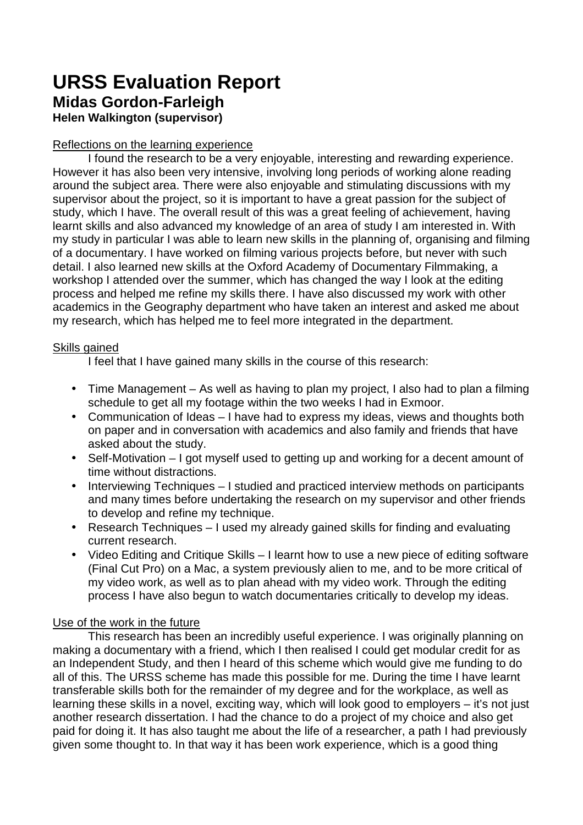## **URSS Evaluation Report Midas Gordon-Farleigh**

**Helen Walkington (supervisor)** 

## Reflections on the learning experience

I found the research to be a very enjoyable, interesting and rewarding experience. However it has also been very intensive, involving long periods of working alone reading around the subject area. There were also enjoyable and stimulating discussions with my supervisor about the project, so it is important to have a great passion for the subject of study, which I have. The overall result of this was a great feeling of achievement, having learnt skills and also advanced my knowledge of an area of study I am interested in. With my study in particular I was able to learn new skills in the planning of, organising and filming of a documentary. I have worked on filming various projects before, but never with such detail. I also learned new skills at the Oxford Academy of Documentary Filmmaking, a workshop I attended over the summer, which has changed the way I look at the editing process and helped me refine my skills there. I have also discussed my work with other academics in the Geography department who have taken an interest and asked me about my research, which has helped me to feel more integrated in the department.

## Skills gained

I feel that I have gained many skills in the course of this research:

- Time Management As well as having to plan my project, I also had to plan a filming schedule to get all my footage within the two weeks I had in Exmoor.
- Communication of Ideas I have had to express my ideas, views and thoughts both on paper and in conversation with academics and also family and friends that have asked about the study.
- Self-Motivation I got myself used to getting up and working for a decent amount of time without distractions.
- Interviewing Techniques I studied and practiced interview methods on participants and many times before undertaking the research on my supervisor and other friends to develop and refine my technique.
- Research Techniques I used my already gained skills for finding and evaluating current research.
- Video Editing and Critique Skills I learnt how to use a new piece of editing software (Final Cut Pro) on a Mac, a system previously alien to me, and to be more critical of my video work, as well as to plan ahead with my video work. Through the editing process I have also begun to watch documentaries critically to develop my ideas.

## Use of the work in the future

 This research has been an incredibly useful experience. I was originally planning on making a documentary with a friend, which I then realised I could get modular credit for as an Independent Study, and then I heard of this scheme which would give me funding to do all of this. The URSS scheme has made this possible for me. During the time I have learnt transferable skills both for the remainder of my degree and for the workplace, as well as learning these skills in a novel, exciting way, which will look good to employers – it's not just another research dissertation. I had the chance to do a project of my choice and also get paid for doing it. It has also taught me about the life of a researcher, a path I had previously given some thought to. In that way it has been work experience, which is a good thing